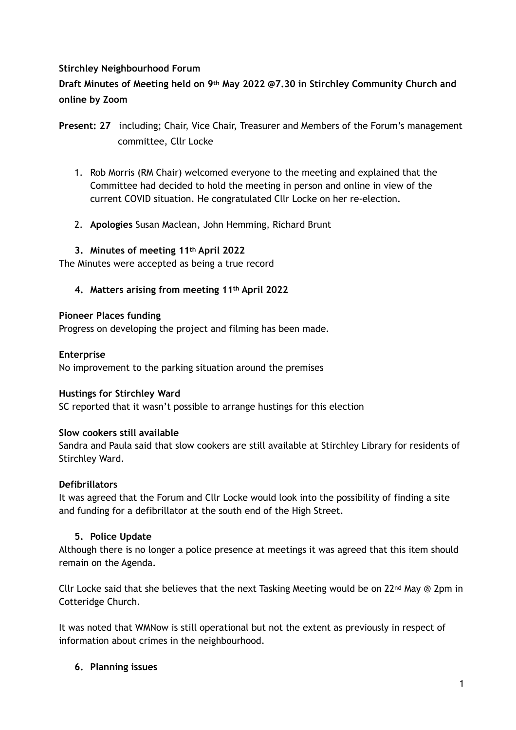### **Stirchley Neighbourhood Forum**

**Draft Minutes of Meeting held on 9th May 2022 @7.30 in Stirchley Community Church and online by Zoom** 

- 1. Rob Morris (RM Chair) welcomed everyone to the meeting and explained that the Committee had decided to hold the meeting in person and online in view of the current COVID situation. He congratulated Cllr Locke on her re-election.
- 2. **Apologies** Susan Maclean, John Hemming, Richard Brunt

## **3. Minutes of meeting 11th April 2022**

The Minutes were accepted as being a true record

**4. Matters arising from meeting 11th April 2022** 

### **Pioneer Places funding**

Progress on developing the project and filming has been made.

### **Enterprise**

No improvement to the parking situation around the premises

### **Hustings for Stirchley Ward**

SC reported that it wasn't possible to arrange hustings for this election

### **Slow cookers still available**

Sandra and Paula said that slow cookers are still available at Stirchley Library for residents of Stirchley Ward.

# **Defibrillators**

It was agreed that the Forum and Cllr Locke would look into the possibility of finding a site and funding for a defibrillator at the south end of the High Street.

### **5. Police Update**

Although there is no longer a police presence at meetings it was agreed that this item should remain on the Agenda.

Cllr Locke said that she believes that the next Tasking Meeting would be on  $22^{nd}$  May @ 2pm in Cotteridge Church.

It was noted that WMNow is still operational but not the extent as previously in respect of information about crimes in the neighbourhood.

# **6. Planning issues**

**Present: 27** including; Chair, Vice Chair, Treasurer and Members of the Forum's management committee, Cllr Locke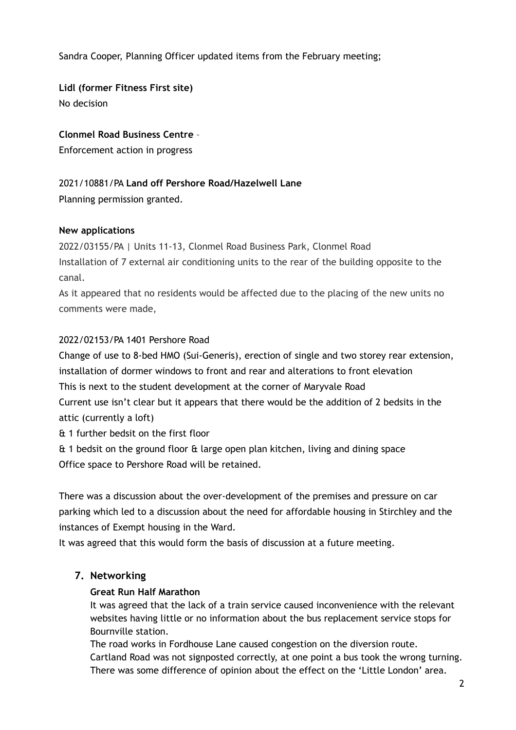Sandra Cooper, Planning Officer updated items from the February meeting;

**Lidl (former Fitness First site)**  No decision

**Clonmel Road Business Centre** –

Enforcement action in progress

## 2021/10881/PA **Land off Pershore Road/Hazelwell Lane**

Planning permission granted.

### **New applications**

2022/03155/PA | Units 11-13, Clonmel Road Business Park, Clonmel Road Installation of 7 external air conditioning units to the rear of the building opposite to the canal.

As it appeared that no residents would be affected due to the placing of the new units no comments were made,

## 2022/02153/PA 1401 Pershore Road

Change of use to 8-bed HMO (Sui-Generis), erection of single and two storey rear extension, installation of dormer windows to front and rear and alterations to front elevation This is next to the student development at the corner of Maryvale Road Current use isn't clear but it appears that there would be the addition of 2 bedsits in the

attic (currently a loft)

& 1 further bedsit on the first floor

& 1 bedsit on the ground floor & large open plan kitchen, living and dining space Office space to Pershore Road will be retained.

There was a discussion about the over-development of the premises and pressure on car parking which led to a discussion about the need for affordable housing in Stirchley and the instances of Exempt housing in the Ward.

It was agreed that this would form the basis of discussion at a future meeting.

# **7. Networking**

### **Great Run Half Marathon**

It was agreed that the lack of a train service caused inconvenience with the relevant websites having little or no information about the bus replacement service stops for Bournville station.

The road works in Fordhouse Lane caused congestion on the diversion route. Cartland Road was not signposted correctly, at one point a bus took the wrong turning. There was some difference of opinion about the effect on the 'Little London' area.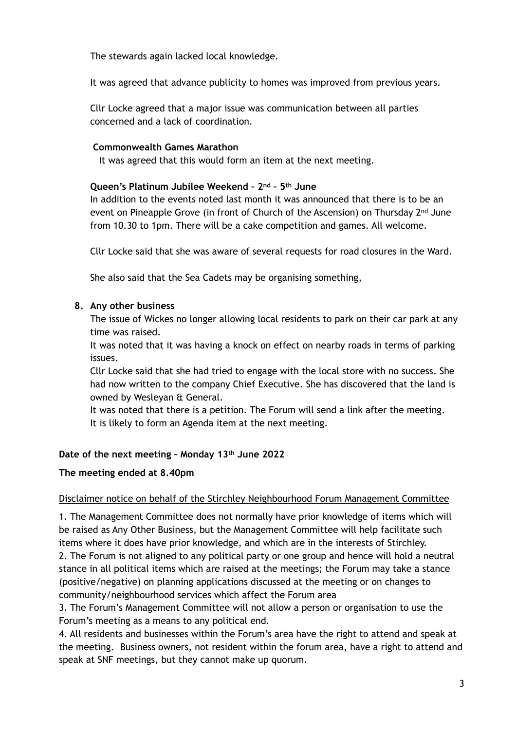The stewards again lacked local knowledge.

It was agreed that advance publicity to homes was improved from previous years.

Cllr Locke agreed that a major issue was communication between all parties concerned and a lack of coordination.

#### **Commonwealth Games Marathon**

It was agreed that this would form an item at the next meeting.

#### **Queen's Platinum Jubilee Weekend – 2nd – 5th June**

In addition to the events noted last month it was announced that there is to be an event on Pineapple Grove (in front of Church of the Ascension) on Thursday 2nd June from 10.30 to 1pm. There will be a cake competition and games. All welcome.

Cllr Locke said that she was aware of several requests for road closures in the Ward.

She also said that the Sea Cadets may be organising something,

#### **8. Any other business**

The issue of Wickes no longer allowing local residents to park on their car park at any time was raised.

It was noted that it was having a knock on effect on nearby roads in terms of parking issues.

Cllr Locke said that she had tried to engage with the local store with no success. She had now written to the company Chief Executive. She has discovered that the land is owned by Wesleyan & General.

It was noted that there is a petition. The Forum will send a link after the meeting. It is likely to form an Agenda item at the next meeting.

### **Date of the next meeting – Monday 13th June 2022**

#### **The meeting ended at 8.40pm**

### Disclaimer notice on behalf of the Stirchley Neighbourhood Forum Management Committee

1. The Management Committee does not normally have prior knowledge of items which will be raised as Any Other Business, but the Management Committee will help facilitate such items where it does have prior knowledge, and which are in the interests of Stirchley. 2. The Forum is not aligned to any political party or one group and hence will hold a neutral stance in all political items which are raised at the meetings; the Forum may take a stance (positive/negative) on planning applications discussed at the meeting or on changes to community/neighbourhood services which affect the Forum area

3. The Forum's Management Committee will not allow a person or organisation to use the Forum's meeting as a means to any political end.

4. All residents and businesses within the Forum's area have the right to attend and speak at the meeting. Business owners, not resident within the forum area, have a right to attend and speak at SNF meetings, but they cannot make up quorum.